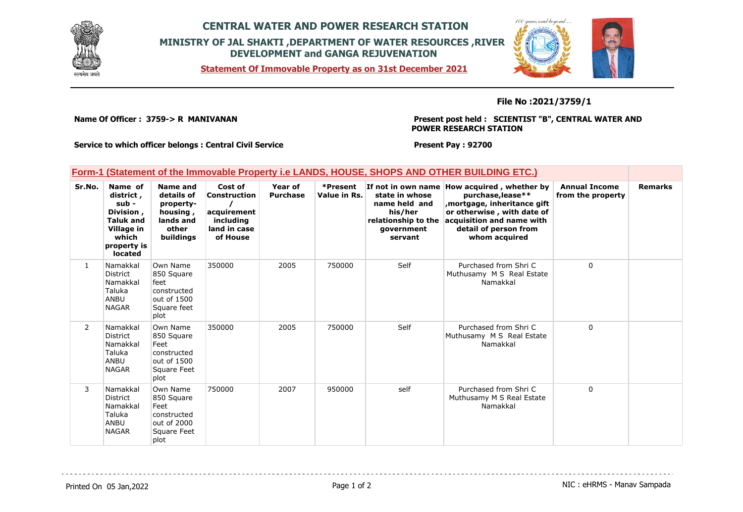

## **CENTRAL WATER AND POWER RESEARCH STATION MINISTRY OF JAL SHAKTI ,DEPARTMENT OF WATER RESOURCES ,RIVER DEVELOPMENT and GANGA REJUVENATION**

**Statement Of Immovable Property as on 31st December 2021**



## **File No :2021/3759/1**

**Name Of Officer : 3759-> R MANIVANAN** 

**Present post held : SCIENTIST "B", CENTRAL WATER AND POWER RESEARCH STATION**

**Service to which officer belongs : Central Civil Service**

**Present Pay : 92700**

|  |  | Form-1 (Statement of the Immovable Property i.e LANDS, HOUSE, SHOPS AND OTHER BUILDING ETC.) |  |
|--|--|----------------------------------------------------------------------------------------------|--|
|  |  |                                                                                              |  |

| Sr.No.       | Name of<br>district,<br>sub -<br>Division,<br><b>Taluk and</b><br>Village in<br>which<br>property is<br>located | Name and<br>details of<br>property-<br>housing,<br>lands and<br>other<br>buildings  | Cost of<br>Construction<br>acquirement<br>including<br>land in case<br>of House | Year of<br><b>Purchase</b> | *Present<br>Value in Rs. | state in whose<br>name held and<br>his/her<br>relationship to the<br>government<br>servant | If not in own name How acquired, whether by<br>purchase, lease**<br>mortgage, inheritance gift,<br>or otherwise, with date of<br>acquisition and name with<br>detail of person from<br>whom acquired | <b>Annual Income</b><br>from the property | <b>Remarks</b> |
|--------------|-----------------------------------------------------------------------------------------------------------------|-------------------------------------------------------------------------------------|---------------------------------------------------------------------------------|----------------------------|--------------------------|--------------------------------------------------------------------------------------------|------------------------------------------------------------------------------------------------------------------------------------------------------------------------------------------------------|-------------------------------------------|----------------|
| $\mathbf{1}$ | Namakkal<br><b>District</b><br>Namakkal<br>Taluka<br>ANBU<br><b>NAGAR</b>                                       | Own Name<br>850 Square<br>feet<br>constructed<br>out of 1500<br>Square feet<br>plot | 350000                                                                          | 2005                       | 750000                   | Self                                                                                       | Purchased from Shri C<br>Muthusamy M S Real Estate<br>Namakkal                                                                                                                                       | $\mathbf{0}$                              |                |
| 2            | Namakkal<br><b>District</b><br>Namakkal<br>Taluka<br>ANBU<br><b>NAGAR</b>                                       | Own Name<br>850 Square<br>Feet<br>constructed<br>out of 1500<br>Square Feet<br>plot | 350000                                                                          | 2005                       | 750000                   | Self                                                                                       | Purchased from Shri C<br>Muthusamy M S Real Estate<br>Namakkal                                                                                                                                       | $\mathbf 0$                               |                |
| 3            | Namakkal<br>District<br>Namakkal<br>Taluka<br>ANBU<br><b>NAGAR</b>                                              | Own Name<br>850 Square<br>Feet<br>constructed<br>out of 2000<br>Square Feet<br>plot | 750000                                                                          | 2007                       | 950000                   | self                                                                                       | Purchased from Shri C<br>Muthusamy M S Real Estate<br>Namakkal                                                                                                                                       | $\mathbf 0$                               |                |